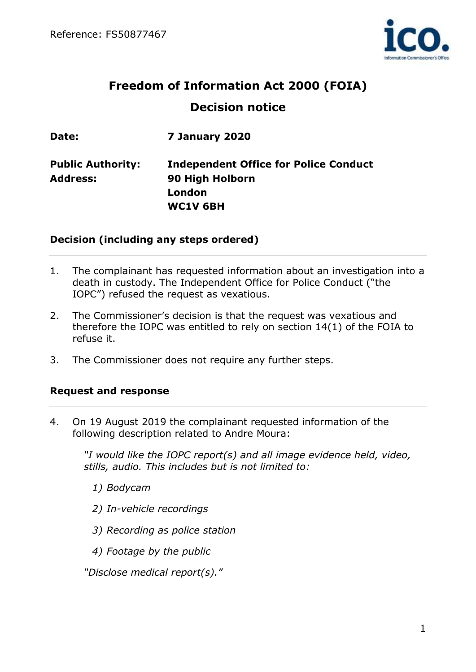

# **Freedom of Information Act 2000 (FOIA) Decision notice**

**Date: 7 January 2020**

# **Public Authority: Independent Office for Police Conduct Address: 90 High Holborn London WC1V 6BH**

### **Decision (including any steps ordered)**

- 1. The complainant has requested information about an investigation into a death in custody. The Independent Office for Police Conduct ("the IOPC") refused the request as vexatious.
- 2. The Commissioner's decision is that the request was vexatious and therefore the IOPC was entitled to rely on section 14(1) of the FOIA to refuse it.
- 3. The Commissioner does not require any further steps.

## **Request and response**

4. On 19 August 2019 the complainant requested information of the following description related to Andre Moura:

*"I would like the IOPC report(s) and all image evidence held, video, stills, audio. This includes but is not limited to:* 

*1) Bodycam* 

- *2) In-vehicle recordings*
- *3) Recording as police station*
- *4) Footage by the public*

*"Disclose medical report(s)."*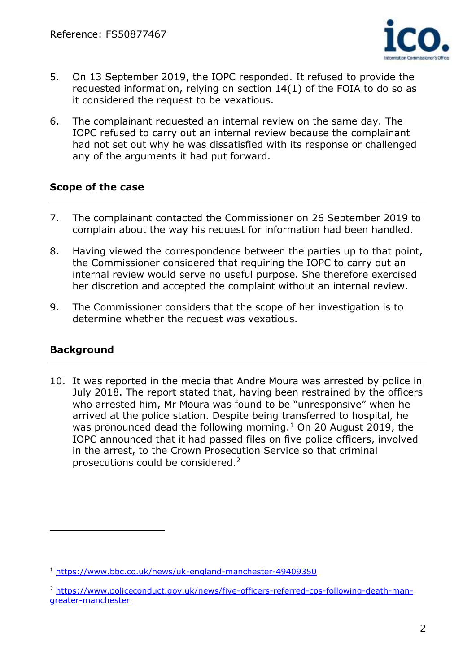

- 5. On 13 September 2019, the IOPC responded. It refused to provide the requested information, relying on section 14(1) of the FOIA to do so as it considered the request to be vexatious.
- 6. The complainant requested an internal review on the same day. The IOPC refused to carry out an internal review because the complainant had not set out why he was dissatisfied with its response or challenged any of the arguments it had put forward.

### **Scope of the case**

- 7. The complainant contacted the Commissioner on 26 September 2019 to complain about the way his request for information had been handled.
- 8. Having viewed the correspondence between the parties up to that point, the Commissioner considered that requiring the IOPC to carry out an internal review would serve no useful purpose. She therefore exercised her discretion and accepted the complaint without an internal review.
- 9. The Commissioner considers that the scope of her investigation is to determine whether the request was vexatious.

## **Background**

 $\overline{a}$ 

10. It was reported in the media that Andre Moura was arrested by police in July 2018. The report stated that, having been restrained by the officers who arrested him, Mr Moura was found to be "unresponsive" when he arrived at the police station. Despite being transferred to hospital, he was pronounced dead the following morning.<sup>1</sup> On 20 August 2019, the IOPC announced that it had passed files on five police officers, involved in the arrest, to the Crown Prosecution Service so that criminal prosecutions could be considered.<sup>2</sup>

<sup>1</sup> <https://www.bbc.co.uk/news/uk-england-manchester-49409350>

<sup>2</sup> [https://www.policeconduct.gov.uk/news/five-officers-referred-cps-following-death-man](https://www.policeconduct.gov.uk/news/five-officers-referred-cps-following-death-man-greater-manchester)[greater-manchester](https://www.policeconduct.gov.uk/news/five-officers-referred-cps-following-death-man-greater-manchester)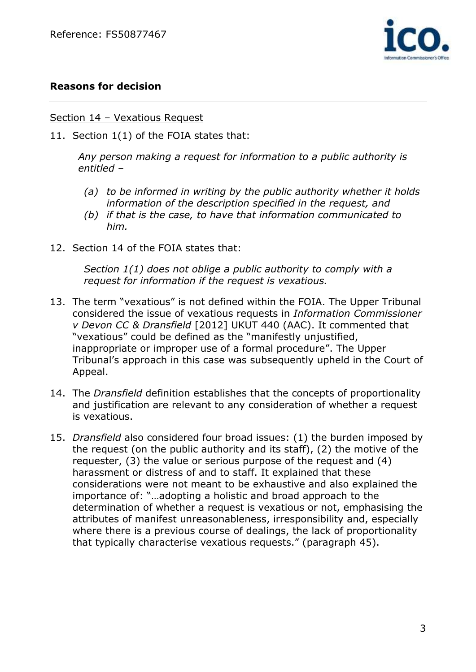

## **Reasons for decision**

Section 14 – Vexatious Request

11. Section 1(1) of the FOIA states that:

*Any person making a request for information to a public authority is entitled –*

- *(a) to be informed in writing by the public authority whether it holds information of the description specified in the request, and*
- *(b) if that is the case, to have that information communicated to him.*
- 12. Section 14 of the FOIA states that:

*Section 1(1) does not oblige a public authority to comply with a request for information if the request is vexatious.*

- 13. The term "vexatious" is not defined within the FOIA. The Upper Tribunal considered the issue of vexatious requests in *Information Commissioner v Devon CC & Dransfield* [2012] UKUT 440 (AAC). It commented that "vexatious" could be defined as the "manifestly unjustified, inappropriate or improper use of a formal procedure". The Upper Tribunal's approach in this case was subsequently upheld in the Court of Appeal.
- 14. The *Dransfield* definition establishes that the concepts of proportionality and justification are relevant to any consideration of whether a request is vexatious.
- 15. *Dransfield* also considered four broad issues: (1) the burden imposed by the request (on the public authority and its staff), (2) the motive of the requester, (3) the value or serious purpose of the request and (4) harassment or distress of and to staff. It explained that these considerations were not meant to be exhaustive and also explained the importance of: "…adopting a holistic and broad approach to the determination of whether a request is vexatious or not, emphasising the attributes of manifest unreasonableness, irresponsibility and, especially where there is a previous course of dealings, the lack of proportionality that typically characterise vexatious requests." (paragraph 45).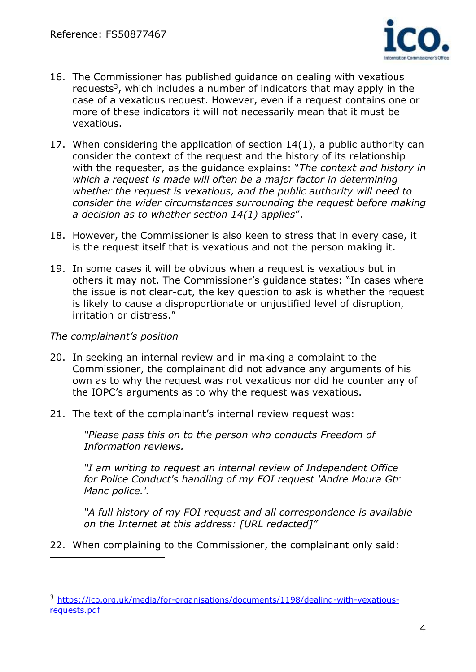

- 16. The Commissioner has published guidance on dealing with vexatious requests<sup>3</sup>, which includes a number of indicators that may apply in the case of a vexatious request. However, even if a request contains one or more of these indicators it will not necessarily mean that it must be vexatious.
- 17. When considering the application of section 14(1), a public authority can consider the context of the request and the history of its relationship with the requester, as the guidance explains: "*The context and history in which a request is made will often be a major factor in determining whether the request is vexatious, and the public authority will need to consider the wider circumstances surrounding the request before making a decision as to whether section 14(1) applies*".
- 18. However, the Commissioner is also keen to stress that in every case, it is the request itself that is vexatious and not the person making it.
- 19. In some cases it will be obvious when a request is vexatious but in others it may not. The Commissioner's guidance states: "In cases where the issue is not clear-cut, the key question to ask is whether the request is likely to cause a disproportionate or unjustified level of disruption, irritation or distress."

#### *The complainant's position*

 $\overline{a}$ 

- 20. In seeking an internal review and in making a complaint to the Commissioner, the complainant did not advance any arguments of his own as to why the request was not vexatious nor did he counter any of the IOPC's arguments as to why the request was vexatious.
- 21. The text of the complainant's internal review request was:

*"Please pass this on to the person who conducts Freedom of Information reviews.*

*"I am writing to request an internal review of Independent Office for Police Conduct's handling of my FOI request 'Andre Moura Gtr Manc police.'.*

*"A full history of my FOI request and all correspondence is available on the Internet at this address: [URL redacted]"*

22. When complaining to the Commissioner, the complainant only said:

<sup>3</sup> [https://ico.org.uk/media/for-organisations/documents/1198/dealing-with-vexatious](https://ico.org.uk/media/for-organisations/documents/1198/dealing-with-vexatious-requests.pdf)[requests.pdf](https://ico.org.uk/media/for-organisations/documents/1198/dealing-with-vexatious-requests.pdf)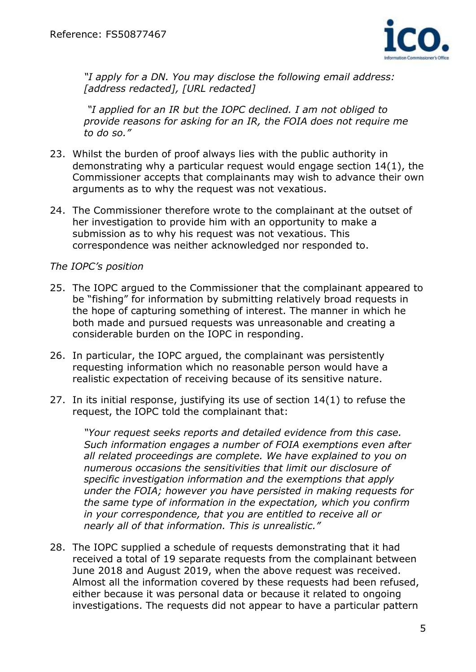

*"I apply for a DN. You may disclose the following email address: [address redacted], [URL redacted]*

*"I applied for an IR but the IOPC declined. I am not obliged to provide reasons for asking for an IR, the FOIA does not require me to do so."*

- 23. Whilst the burden of proof always lies with the public authority in demonstrating why a particular request would engage section 14(1), the Commissioner accepts that complainants may wish to advance their own arguments as to why the request was not vexatious.
- 24. The Commissioner therefore wrote to the complainant at the outset of her investigation to provide him with an opportunity to make a submission as to why his request was not vexatious. This correspondence was neither acknowledged nor responded to.

#### *The IOPC's position*

- 25. The IOPC argued to the Commissioner that the complainant appeared to be "fishing" for information by submitting relatively broad requests in the hope of capturing something of interest. The manner in which he both made and pursued requests was unreasonable and creating a considerable burden on the IOPC in responding.
- 26. In particular, the IOPC argued, the complainant was persistently requesting information which no reasonable person would have a realistic expectation of receiving because of its sensitive nature.
- 27. In its initial response, justifying its use of section 14(1) to refuse the request, the IOPC told the complainant that:

*"Your request seeks reports and detailed evidence from this case. Such information engages a number of FOIA exemptions even after all related proceedings are complete. We have explained to you on numerous occasions the sensitivities that limit our disclosure of specific investigation information and the exemptions that apply under the FOIA; however you have persisted in making requests for the same type of information in the expectation, which you confirm in your correspondence, that you are entitled to receive all or nearly all of that information. This is unrealistic."*

28. The IOPC supplied a schedule of requests demonstrating that it had received a total of 19 separate requests from the complainant between June 2018 and August 2019, when the above request was received. Almost all the information covered by these requests had been refused, either because it was personal data or because it related to ongoing investigations. The requests did not appear to have a particular pattern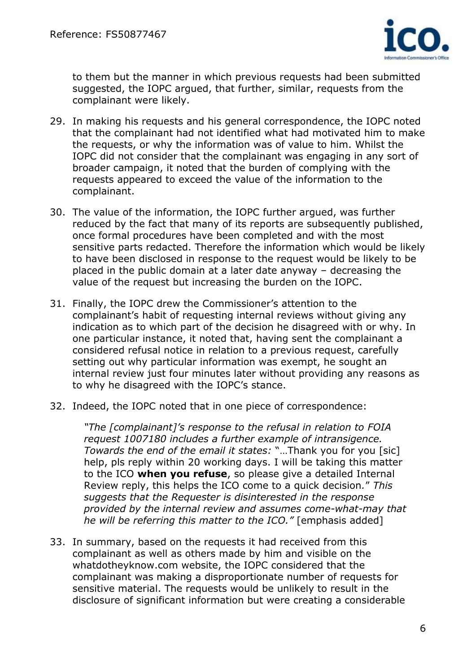

to them but the manner in which previous requests had been submitted suggested, the IOPC argued, that further, similar, requests from the complainant were likely.

- 29. In making his requests and his general correspondence, the IOPC noted that the complainant had not identified what had motivated him to make the requests, or why the information was of value to him. Whilst the IOPC did not consider that the complainant was engaging in any sort of broader campaign, it noted that the burden of complying with the requests appeared to exceed the value of the information to the complainant.
- 30. The value of the information, the IOPC further argued, was further reduced by the fact that many of its reports are subsequently published, once formal procedures have been completed and with the most sensitive parts redacted. Therefore the information which would be likely to have been disclosed in response to the request would be likely to be placed in the public domain at a later date anyway – decreasing the value of the request but increasing the burden on the IOPC.
- 31. Finally, the IOPC drew the Commissioner's attention to the complainant's habit of requesting internal reviews without giving any indication as to which part of the decision he disagreed with or why. In one particular instance, it noted that, having sent the complainant a considered refusal notice in relation to a previous request, carefully setting out why particular information was exempt, he sought an internal review just four minutes later without providing any reasons as to why he disagreed with the IOPC's stance.
- 32. Indeed, the IOPC noted that in one piece of correspondence:

*"The [complainant]'s response to the refusal in relation to FOIA request 1007180 includes a further example of intransigence. Towards the end of the email it states:* "…Thank you for you [sic] help, pls reply within 20 working days. I will be taking this matter to the ICO **when you refuse**, so please give a detailed Internal Review reply, this helps the ICO come to a quick decision*.*" *This suggests that the Requester is disinterested in the response provided by the internal review and assumes come-what-may that he will be referring this matter to the ICO."* [emphasis added]

33. In summary, based on the requests it had received from this complainant as well as others made by him and visible on the whatdotheyknow.com website, the IOPC considered that the complainant was making a disproportionate number of requests for sensitive material. The requests would be unlikely to result in the disclosure of significant information but were creating a considerable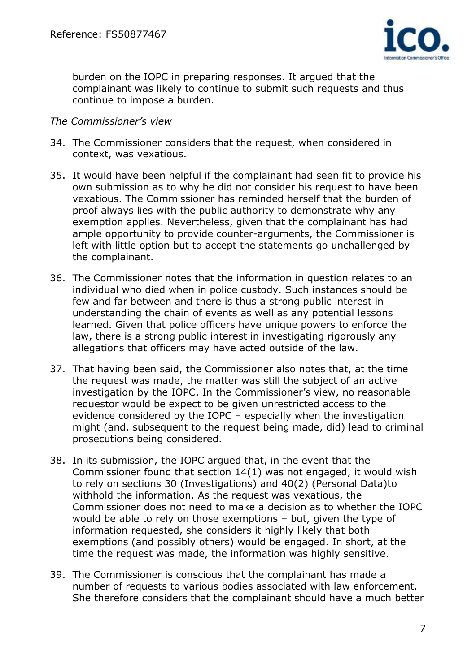

burden on the IOPC in preparing responses. It argued that the complainant was likely to continue to submit such requests and thus continue to impose a burden.

#### *The Commissioner's view*

- 34. The Commissioner considers that the request, when considered in context, was vexatious.
- 35. It would have been helpful if the complainant had seen fit to provide his own submission as to why he did not consider his request to have been vexatious. The Commissioner has reminded herself that the burden of proof always lies with the public authority to demonstrate why any exemption applies. Nevertheless, given that the complainant has had ample opportunity to provide counter-arguments, the Commissioner is left with little option but to accept the statements go unchallenged by the complainant.
- 36. The Commissioner notes that the information in question relates to an individual who died when in police custody. Such instances should be few and far between and there is thus a strong public interest in understanding the chain of events as well as any potential lessons learned. Given that police officers have unique powers to enforce the law, there is a strong public interest in investigating rigorously any allegations that officers may have acted outside of the law.
- 37. That having been said, the Commissioner also notes that, at the time the request was made, the matter was still the subject of an active investigation by the IOPC. In the Commissioner's view, no reasonable requestor would be expect to be given unrestricted access to the evidence considered by the IOPC – especially when the investigation might (and, subsequent to the request being made, did) lead to criminal prosecutions being considered.
- 38. In its submission, the IOPC argued that, in the event that the Commissioner found that section 14(1) was not engaged, it would wish to rely on sections 30 (Investigations) and 40(2) (Personal Data)to withhold the information. As the request was vexatious, the Commissioner does not need to make a decision as to whether the IOPC would be able to rely on those exemptions – but, given the type of information requested, she considers it highly likely that both exemptions (and possibly others) would be engaged. In short, at the time the request was made, the information was highly sensitive.
- 39. The Commissioner is conscious that the complainant has made a number of requests to various bodies associated with law enforcement. She therefore considers that the complainant should have a much better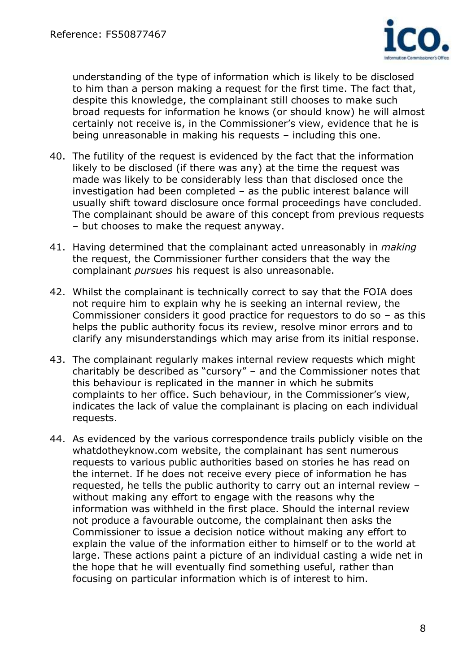

understanding of the type of information which is likely to be disclosed to him than a person making a request for the first time. The fact that, despite this knowledge, the complainant still chooses to make such broad requests for information he knows (or should know) he will almost certainly not receive is, in the Commissioner's view, evidence that he is being unreasonable in making his requests – including this one.

- 40. The futility of the request is evidenced by the fact that the information likely to be disclosed (if there was any) at the time the request was made was likely to be considerably less than that disclosed once the investigation had been completed – as the public interest balance will usually shift toward disclosure once formal proceedings have concluded. The complainant should be aware of this concept from previous requests – but chooses to make the request anyway.
- 41. Having determined that the complainant acted unreasonably in *making* the request, the Commissioner further considers that the way the complainant *pursues* his request is also unreasonable.
- 42. Whilst the complainant is technically correct to say that the FOIA does not require him to explain why he is seeking an internal review, the Commissioner considers it good practice for requestors to do so – as this helps the public authority focus its review, resolve minor errors and to clarify any misunderstandings which may arise from its initial response.
- 43. The complainant regularly makes internal review requests which might charitably be described as "cursory" – and the Commissioner notes that this behaviour is replicated in the manner in which he submits complaints to her office. Such behaviour, in the Commissioner's view, indicates the lack of value the complainant is placing on each individual requests.
- 44. As evidenced by the various correspondence trails publicly visible on the whatdotheyknow.com website, the complainant has sent numerous requests to various public authorities based on stories he has read on the internet. If he does not receive every piece of information he has requested, he tells the public authority to carry out an internal review – without making any effort to engage with the reasons why the information was withheld in the first place. Should the internal review not produce a favourable outcome, the complainant then asks the Commissioner to issue a decision notice without making any effort to explain the value of the information either to himself or to the world at large. These actions paint a picture of an individual casting a wide net in the hope that he will eventually find something useful, rather than focusing on particular information which is of interest to him.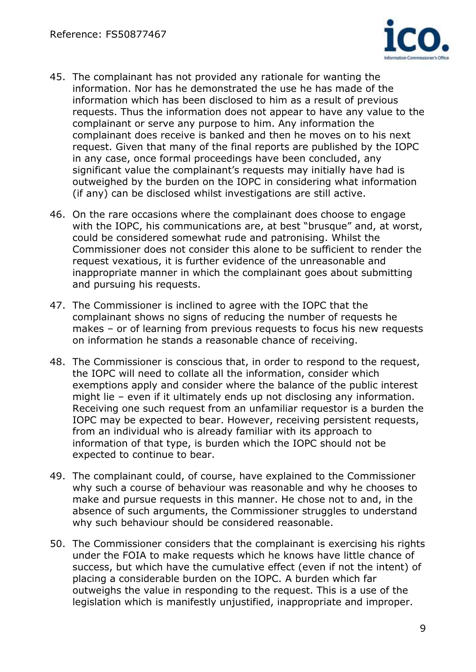

- 45. The complainant has not provided any rationale for wanting the information. Nor has he demonstrated the use he has made of the information which has been disclosed to him as a result of previous requests. Thus the information does not appear to have any value to the complainant or serve any purpose to him. Any information the complainant does receive is banked and then he moves on to his next request. Given that many of the final reports are published by the IOPC in any case, once formal proceedings have been concluded, any significant value the complainant's requests may initially have had is outweighed by the burden on the IOPC in considering what information (if any) can be disclosed whilst investigations are still active.
- 46. On the rare occasions where the complainant does choose to engage with the IOPC, his communications are, at best "brusque" and, at worst, could be considered somewhat rude and patronising. Whilst the Commissioner does not consider this alone to be sufficient to render the request vexatious, it is further evidence of the unreasonable and inappropriate manner in which the complainant goes about submitting and pursuing his requests.
- 47. The Commissioner is inclined to agree with the IOPC that the complainant shows no signs of reducing the number of requests he makes – or of learning from previous requests to focus his new requests on information he stands a reasonable chance of receiving.
- 48. The Commissioner is conscious that, in order to respond to the request, the IOPC will need to collate all the information, consider which exemptions apply and consider where the balance of the public interest might lie – even if it ultimately ends up not disclosing any information. Receiving one such request from an unfamiliar requestor is a burden the IOPC may be expected to bear. However, receiving persistent requests, from an individual who is already familiar with its approach to information of that type, is burden which the IOPC should not be expected to continue to bear.
- 49. The complainant could, of course, have explained to the Commissioner why such a course of behaviour was reasonable and why he chooses to make and pursue requests in this manner. He chose not to and, in the absence of such arguments, the Commissioner struggles to understand why such behaviour should be considered reasonable.
- 50. The Commissioner considers that the complainant is exercising his rights under the FOIA to make requests which he knows have little chance of success, but which have the cumulative effect (even if not the intent) of placing a considerable burden on the IOPC. A burden which far outweighs the value in responding to the request. This is a use of the legislation which is manifestly unjustified, inappropriate and improper.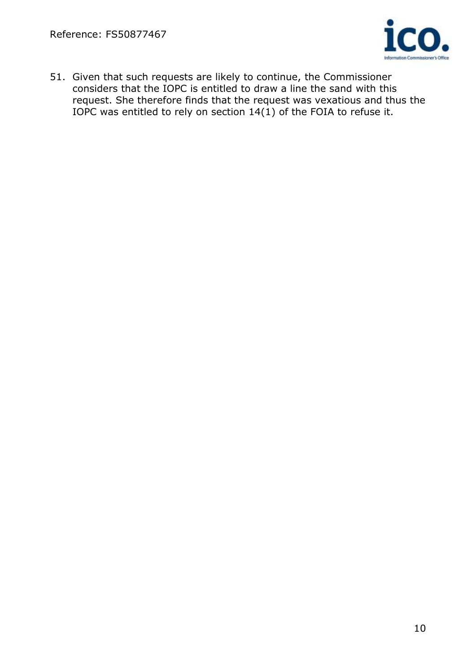

51. Given that such requests are likely to continue, the Commissioner considers that the IOPC is entitled to draw a line the sand with this request. She therefore finds that the request was vexatious and thus the IOPC was entitled to rely on section  $14(1)$  of the FOIA to refuse it.